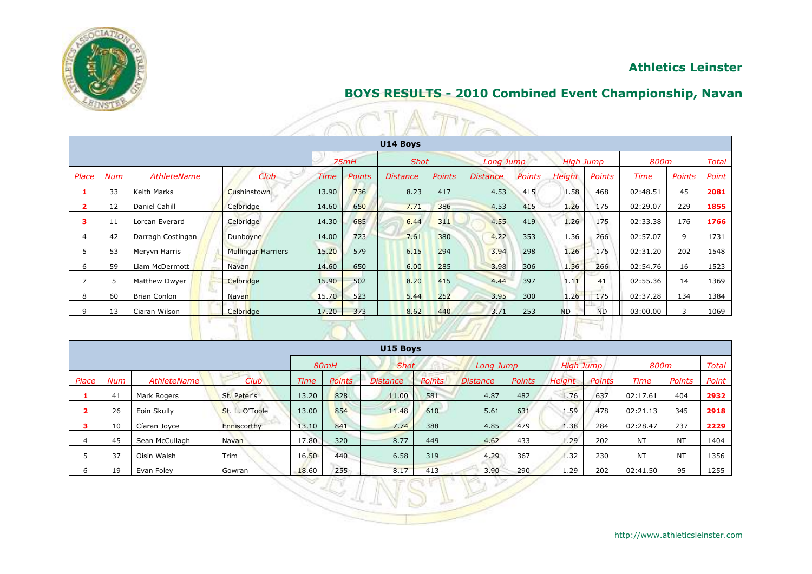

## **Athletics Leinster**

### **BOYS RESULTS - 2010 Combined Event Championship, Navan**

|                         | <b>Continued by the Continued State</b>                                      |                     |                           |             |               |                 |               |                 |        |               |           |             |        |       |  |
|-------------------------|------------------------------------------------------------------------------|---------------------|---------------------------|-------------|---------------|-----------------|---------------|-----------------|--------|---------------|-----------|-------------|--------|-------|--|
|                         | U14 Boys                                                                     |                     |                           |             |               |                 |               |                 |        |               |           |             |        |       |  |
|                         | <b>Total</b><br>75mH<br><b>Shot</b><br>Long Jump<br><b>High Jump</b><br>800m |                     |                           |             |               |                 |               |                 |        |               |           |             |        |       |  |
| Place                   | Num                                                                          | AthleteName         | Club                      | <b>Time</b> | <b>Points</b> | <b>Distance</b> | <b>Points</b> | <b>Distance</b> | Points | <b>Height</b> | Points    | <b>Time</b> | Points | Point |  |
|                         | 33                                                                           | Keith Marks         | Cushinstown               | 13.90       | 736           | 8.23            | 417           | 4.53            | 415    | 1.58          | 468       | 02:48.51    | 45     | 2081  |  |
| $\overline{\mathbf{2}}$ | 12                                                                           | Daniel Cahill       | Celbridge                 | 14.60       | 650           | 7.71            | 386           | 4.53            | 415    | 1.26          | 175       | 02:29.07    | 229    | 1855  |  |
| з                       | 11                                                                           | Lorcan Everard      | Celbridge                 | 14.30       | 685           | 6.44            | 311           | 4.55            | 419    | 1.26          | 175       | 02:33.38    | 176    | 1766  |  |
| 4                       | 42                                                                           | Darragh Costingan   | Dunboyne                  | 14.00       | 723           | 7.61            | 380           | 4.22            | 353    | 1.36          | 266       | 02:57.07    | 9      | 1731  |  |
| 5                       | 53                                                                           | Meryvn Harris       | <b>Mullingar Harriers</b> | 15.20       | 579           | 6.15            | 294           | 3.94            | 298    | 1.26          | 175       | 02:31.20    | 202    | 1548  |  |
| 6                       | 59                                                                           | Liam McDermott      | <b>Navan</b>              | 14.60       | 650           | 6.00            | 285           | 3.98            | 306    | 1.36          | 266       | 02:54.76    | 16     | 1523  |  |
| $\overline{7}$          | 5.                                                                           | Matthew Dwyer       | Celbridge                 | 15.90       | 502           | 8.20            | 415           | 4.44            | 397    | 1.11          | 41        | 02:55.36    | 14     | 1369  |  |
| 8                       | 60                                                                           | <b>Brian Conlon</b> | Navan                     | 15.70       | 523           | 5.44            | 252           | 3.95            | 300    | 1.26          | 175       | 02:37.28    | 134    | 1384  |  |
| 9                       | 13                                                                           | Ciaran Wilson       | Celbridge                 | 17.20       | 373           | 8.62            | 440           | 3.71            | 253    | <b>ND</b>     | <b>ND</b> | 03:00.00    | 3      | 1069  |  |
|                         |                                                                              |                     |                           |             |               |                 |               |                 |        |               |           |             |        |       |  |

|       |                                                                |                |                  |             |               | U15 Boys        |               |                 |               |        |        |           |           |       |  |
|-------|----------------------------------------------------------------|----------------|------------------|-------------|---------------|-----------------|---------------|-----------------|---------------|--------|--------|-----------|-----------|-------|--|
|       | High Jump<br><b>Shot</b><br>800m<br>Total<br>80mH<br>Long Jump |                |                  |             |               |                 |               |                 |               |        |        |           |           |       |  |
| Place | Num                                                            | AthleteName    | Club <sub></sub> | <b>Time</b> | <b>Points</b> | <b>Distance</b> | <b>Points</b> | <b>Distance</b> | <b>Points</b> | Height | Points | Time      | Points    | Point |  |
|       | 41                                                             | Mark Rogers    | St. Peter's      | 13.20       | 828           | 11.00           | 581           | 4.87            | 482           | 1.76   | 637    | 02:17.61  | 404       | 2932  |  |
|       | 26                                                             | Eoin Skully    | St. L. O'Toole   | 13.00       | 854           | 11.48           | 610           | 5.61            | 631           | 1.59   | 478    | 02:21.13  | 345       | 2918  |  |
| з.    | 10                                                             | Cíaran Joyce   | Enniscorthy      | 13.10       | 841           | 7.74            | 388           | 4.85            | 479           | 1.38   | 284    | 02:28.47  | 237       | 2229  |  |
|       | 45                                                             | Sean McCullagh | Navan            | 17.80       | 320           | 8.77            | 449           | 4.62            | 433           | 1.29   | 202    | <b>NT</b> | <b>NT</b> | 1404  |  |
|       | 37                                                             | Oisin Walsh    | Trim             | 16.50       | 440           | 6.58            | 319           | 4.29            | 367           | 1.32   | 230    | <b>NT</b> | <b>NT</b> | 1356  |  |
| b     | 19                                                             | Evan Foley     | Gowran           | 18.60       | 255           | 8.17            | 413           | 3.90            | 290           | 1.29   | 202    | 02:41.50  | 95        | 1255  |  |
|       |                                                                |                |                  | 9           |               |                 |               |                 |               |        |        |           |           |       |  |
|       |                                                                |                |                  |             | had the the   |                 |               |                 |               |        |        |           |           |       |  |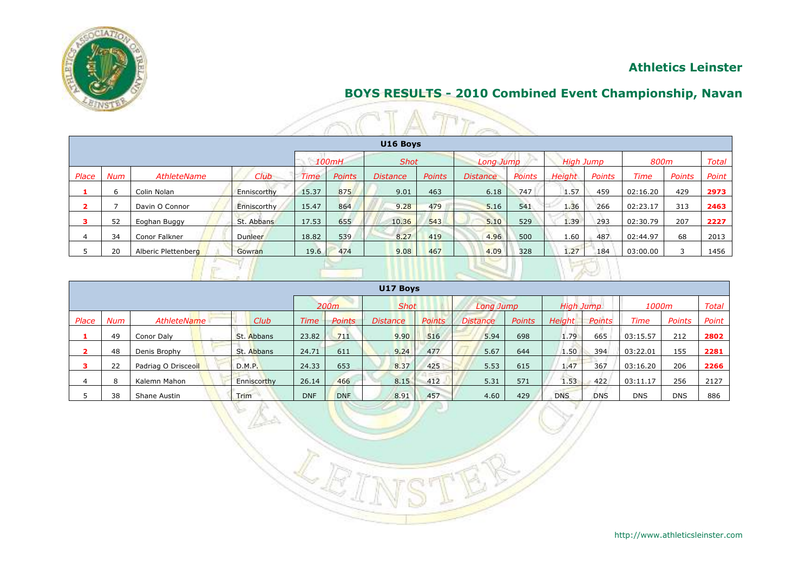

# **Athletics Leinster**

# **BOYS RESULTS - 2010 Combined Event Championship, Navan**

|              |          |                     |             |             |               |                 |               | <b>BEA</b>      |        |                  |        |             |               |              |
|--------------|----------|---------------------|-------------|-------------|---------------|-----------------|---------------|-----------------|--------|------------------|--------|-------------|---------------|--------------|
|              | U16 Boys |                     |             |             |               |                 |               |                 |        |                  |        |             |               |              |
|              |          |                     |             |             | 100mH         | <b>Shot</b>     |               | Long Jump       |        | <b>High Jump</b> |        | 800m        |               | <b>Total</b> |
| <i>Place</i> | Num      | AthleteName         | Club        | <b>Time</b> | <b>Points</b> | <b>Distance</b> | <b>Points</b> | <b>Distance</b> | Points | <b>Height</b>    | Points | <b>Time</b> | <b>Points</b> | Point        |
|              | 6        | Colin Nolan         | Enniscorthy | 15.37       | 875           | 9.01            | 463           | 6.18            | 747    | 1.57             | 459    | 02:16.20    | 429           | 2973         |
|              | ⇁        | Davin O Connor      | Enniscorthy | 15.47       | 864           | 9.28            | 479           | 5.16            | 541    | 1.36             | 266    | 02:23.17    | 313           | 2463         |
| з            | 52       | Eoghan Buggy        | St. Abbans  | 17.53       | 655           | 10.36           | 543           | 5.10            | 529    | 1.39             | 293    | 02:30.79    | 207           | 2227         |
|              | 34       | Conor Falkner       | Dunleer     | 18.82       | 539           | 8.27            | 419           | 4.96            | 500    | 1.60             | 487    | 02:44.97    | 68            | 2013         |
|              | 20       | Alberic Plettenberg | Gowran      | 19.6        | 474           | 9.08            | 467           | 4.09            | 328    | 1.27             | 184    | 03:00.00    |               | 1456         |
|              |          |                     |             |             |               |                 |               |                 |        | <b>DATE LINE</b> |        |             |               |              |

|                                     | U17 Boys |                     |  |             |            |                 |               |                 |           |               |            |            |            |            |              |
|-------------------------------------|----------|---------------------|--|-------------|------------|-----------------|---------------|-----------------|-----------|---------------|------------|------------|------------|------------|--------------|
|                                     |          |                     |  |             | 200m       |                 | <b>Shot</b>   |                 | Long Jump |               | High Jump  |            | 1000m      |            | <b>Total</b> |
| Place<br>AthleteName<br>Num<br>Club |          |                     |  | <b>Time</b> | Points     | <i>Distance</i> | <i>Points</i> | <b>Distance</b> | Points    | <b>Height</b> | Points     | Time       | Points     | Point      |              |
|                                     | 49       | Conor Daly          |  | St. Abbans  | 23.82      | 711             | 9.90          | 516             | 5.94      | 698           | 1.79       | 665        | 03:15.57   | 212        | 2802         |
|                                     | 48       | Denis Brophy        |  | St. Abbans  | 24.71      | 611             | 9.24          | 477             | 5.67      | 644           | 1.50       | 394        | 03:22.01   | 155        | 2281         |
|                                     | 22       | Padriag O Drisceoil |  | D.M.P.      | 24.33      | 653             | 8.37          | 425             | 5.53      | 615           | 1.47       | 367        | 03:16.20   | 206        | 2266         |
|                                     | 8        | Kalemn Mahon        |  | Enniscorthy | 26.14      | 466             | 8.15          | 412             | 5.31      | 571           | 1.53       | 422        | 03:11.17   | 256        | 2127         |
|                                     | 38       | Shane Austin        |  | <b>Trim</b> | <b>DNF</b> | <b>DNF</b>      | 8.91          | 457             | 4.60      | 429           | <b>DNS</b> | <b>DNS</b> | <b>DNS</b> | <b>DNS</b> | 886          |